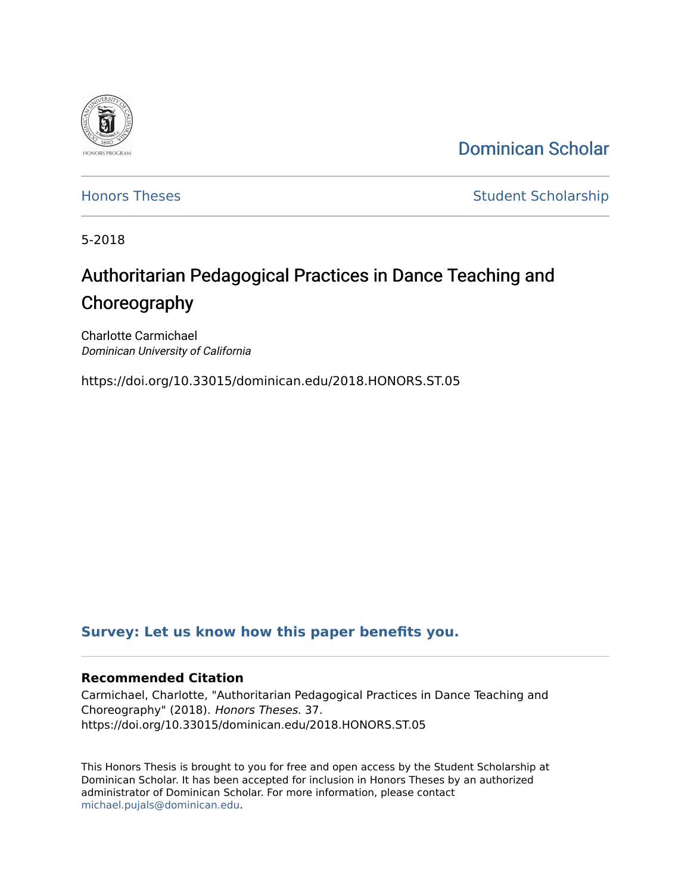

[Dominican Scholar](https://scholar.dominican.edu/) 

[Honors Theses](https://scholar.dominican.edu/honors-theses) **Student Scholarship** 

5-2018

# Authoritarian Pedagogical Practices in Dance Teaching and Choreography

Charlotte Carmichael Dominican University of California

https://doi.org/10.33015/dominican.edu/2018.HONORS.ST.05

### **[Survey: Let us know how this paper benefits you.](https://dominican.libwizard.com/dominican-scholar-feedback)**

#### **Recommended Citation**

Carmichael, Charlotte, "Authoritarian Pedagogical Practices in Dance Teaching and Choreography" (2018). Honors Theses. 37. https://doi.org/10.33015/dominican.edu/2018.HONORS.ST.05

This Honors Thesis is brought to you for free and open access by the Student Scholarship at Dominican Scholar. It has been accepted for inclusion in Honors Theses by an authorized administrator of Dominican Scholar. For more information, please contact [michael.pujals@dominican.edu.](mailto:michael.pujals@dominican.edu)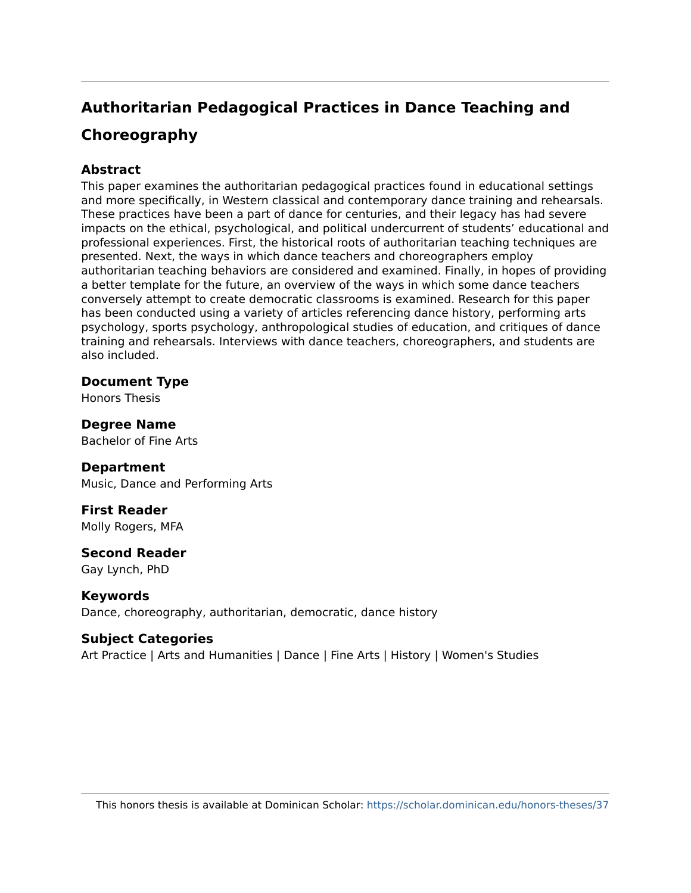## **Authoritarian Pedagogical Practices in Dance Teaching and**

### **Choreography**

#### **Abstract**

This paper examines the authoritarian pedagogical practices found in educational settings and more specifically, in Western classical and contemporary dance training and rehearsals. These practices have been a part of dance for centuries, and their legacy has had severe impacts on the ethical, psychological, and political undercurrent of students' educational and professional experiences. First, the historical roots of authoritarian teaching techniques are presented. Next, the ways in which dance teachers and choreographers employ authoritarian teaching behaviors are considered and examined. Finally, in hopes of providing a better template for the future, an overview of the ways in which some dance teachers conversely attempt to create democratic classrooms is examined. Research for this paper has been conducted using a variety of articles referencing dance history, performing arts psychology, sports psychology, anthropological studies of education, and critiques of dance training and rehearsals. Interviews with dance teachers, choreographers, and students are also included.

#### **Document Type**

Honors Thesis

**Degree Name**  Bachelor of Fine Arts

#### **Department**

Music, Dance and Performing Arts

### **First Reader**

Molly Rogers, MFA

### **Second Reader**

Gay Lynch, PhD

#### **Keywords**

Dance, choreography, authoritarian, democratic, dance history

#### **Subject Categories**

Art Practice | Arts and Humanities | Dance | Fine Arts | History | Women's Studies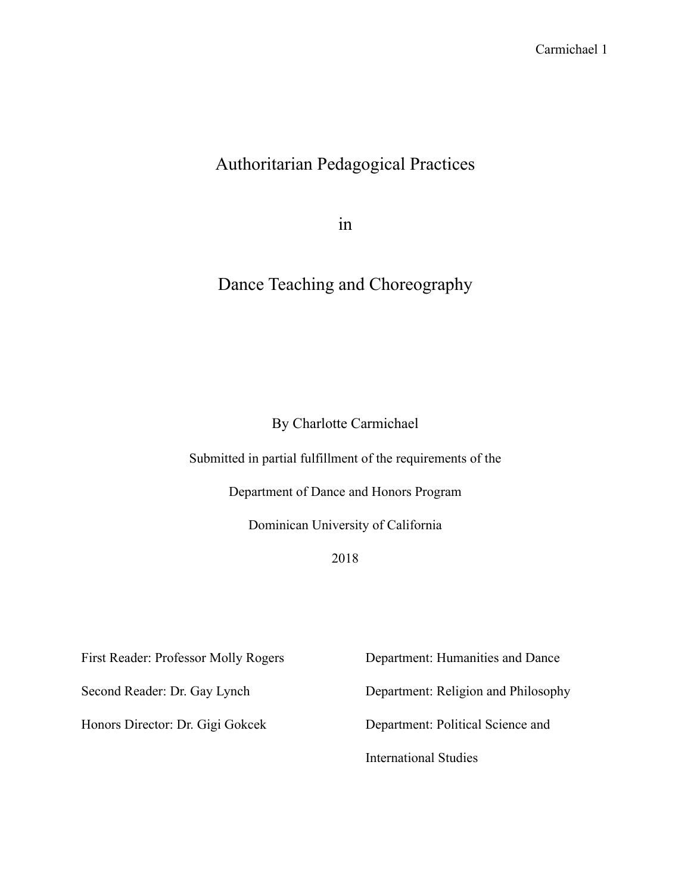### Authoritarian Pedagogical Practices

in

## Dance Teaching and Choreography

By Charlotte Carmichael

Submitted in partial fulfillment of the requirements of the

Department of Dance and Honors Program

Dominican University of California

2018

First Reader: Professor Molly Rogers Department: Humanities and Dance

Second Reader: Dr. Gay Lynch Department: Religion and Philosophy

Honors Director: Dr. Gigi Gokcek Department: Political Science and

International Studies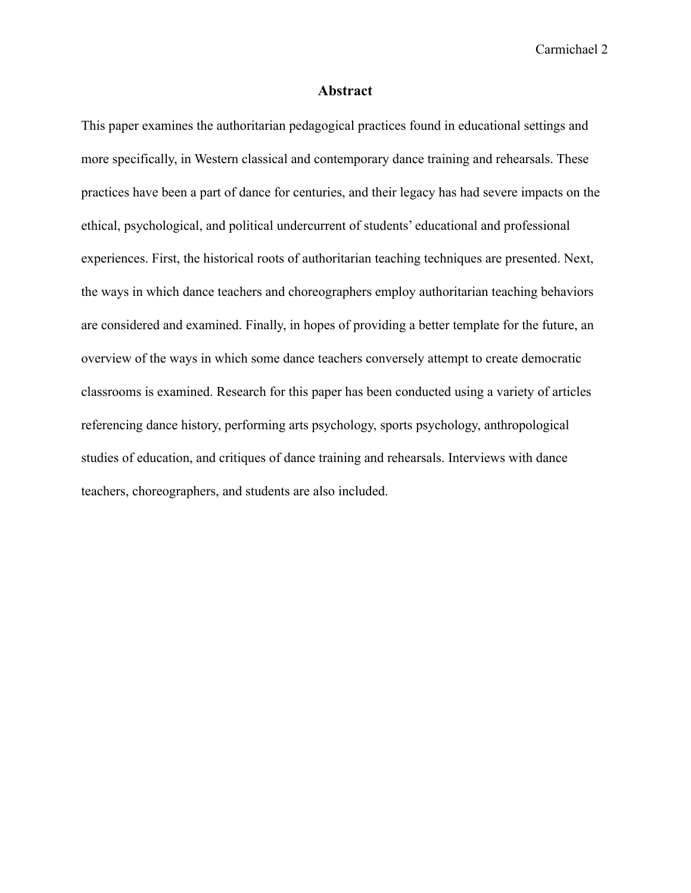#### **Abstract**

This paper examines the authoritarian pedagogical practices found in educational settings and more specifically, in Western classical and contemporary dance training and rehearsals. These practices have been a part of dance for centuries, and their legacy has had severe impacts on the ethical, psychological, and political undercurrent of students' educational and professional experiences. First, the historical roots of authoritarian teaching techniques are presented. Next, the ways in which dance teachers and choreographers employ authoritarian teaching behaviors are considered and examined. Finally, in hopes of providing a better template for the future, an overview of the ways in which some dance teachers conversely attempt to create democratic classrooms is examined. Research for this paper has been conducted using a variety of articles referencing dance history, performing arts psychology, sports psychology, anthropological studies of education, and critiques of dance training and rehearsals. Interviews with dance teachers, choreographers, and students are also included.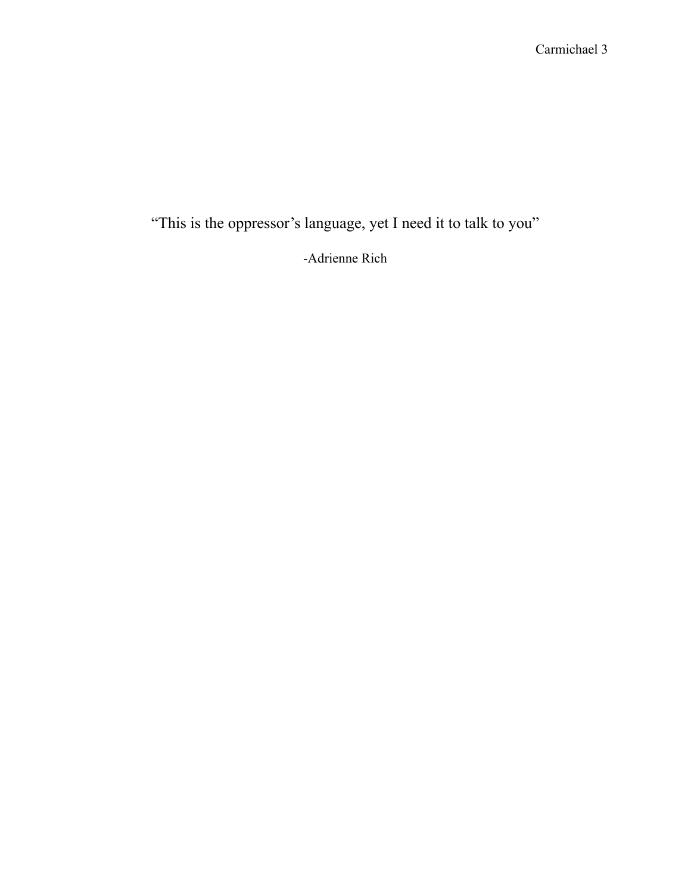"This is the oppressor's language, yet I need it to talk to you"

-Adrienne Rich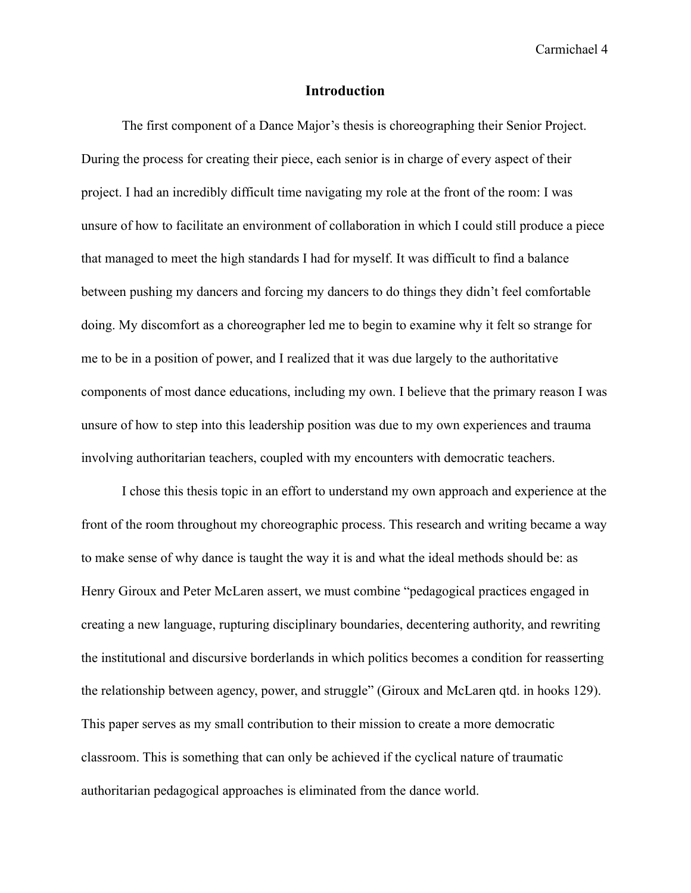#### **Introduction**

 The first component of a Dance Major's thesis is choreographing their Senior Project. During the process for creating their piece, each senior is in charge of every aspect of their project. I had an incredibly difficult time navigating my role at the front of the room: I was unsure of how to facilitate an environment of collaboration in which I could still produce a piece that managed to meet the high standards I had for myself. It was difficult to find a balance between pushing my dancers and forcing my dancers to do things they didn't feel comfortable doing. My discomfort as a choreographer led me to begin to examine why it felt so strange for me to be in a position of power, and I realized that it was due largely to the authoritative components of most dance educations, including my own. I believe that the primary reason I was unsure of how to step into this leadership position was due to my own experiences and trauma involving authoritarian teachers, coupled with my encounters with democratic teachers.

I chose this thesis topic in an effort to understand my own approach and experience at the front of the room throughout my choreographic process. This research and writing became a way to make sense of why dance is taught the way it is and what the ideal methods should be: as Henry Giroux and Peter McLaren assert, we must combine "pedagogical practices engaged in creating a new language, rupturing disciplinary boundaries, decentering authority, and rewriting the institutional and discursive borderlands in which politics becomes a condition for reasserting the relationship between agency, power, and struggle" (Giroux and McLaren qtd. in hooks 129). This paper serves as my small contribution to their mission to create a more democratic classroom. This is something that can only be achieved if the cyclical nature of traumatic authoritarian pedagogical approaches is eliminated from the dance world.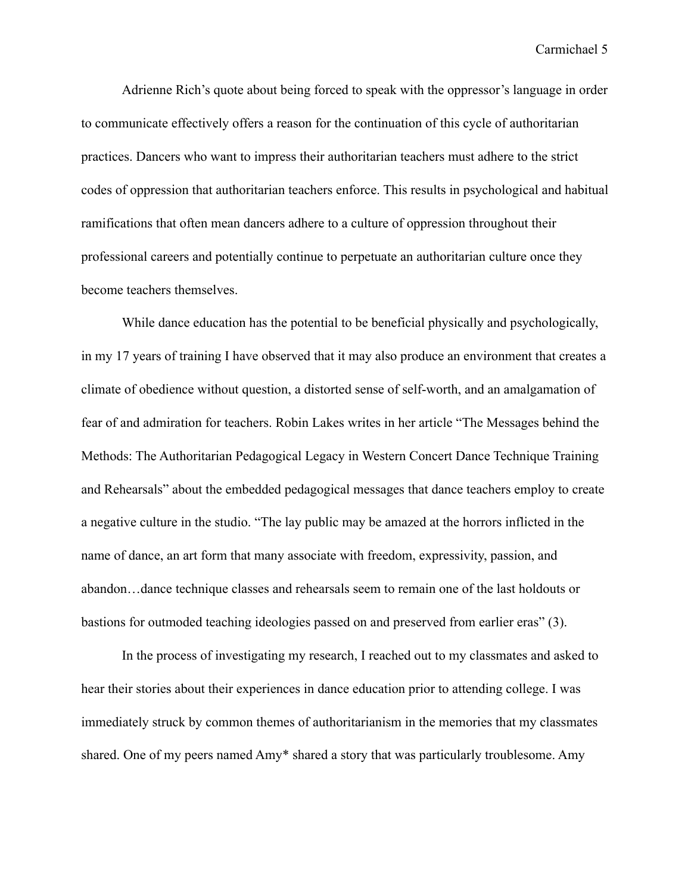Adrienne Rich's quote about being forced to speak with the oppressor's language in order to communicate effectively offers a reason for the continuation of this cycle of authoritarian practices. Dancers who want to impress their authoritarian teachers must adhere to the strict codes of oppression that authoritarian teachers enforce. This results in psychological and habitual ramifications that often mean dancers adhere to a culture of oppression throughout their professional careers and potentially continue to perpetuate an authoritarian culture once they become teachers themselves.

 While dance education has the potential to be beneficial physically and psychologically, in my 17 years of training I have observed that it may also produce an environment that creates a climate of obedience without question, a distorted sense of self-worth, and an amalgamation of fear of and admiration for teachers. Robin Lakes writes in her article "The Messages behind the Methods: The Authoritarian Pedagogical Legacy in Western Concert Dance Technique Training and Rehearsals" about the embedded pedagogical messages that dance teachers employ to create a negative culture in the studio. "The lay public may be amazed at the horrors inflicted in the name of dance, an art form that many associate with freedom, expressivity, passion, and abandon…dance technique classes and rehearsals seem to remain one of the last holdouts or bastions for outmoded teaching ideologies passed on and preserved from earlier eras" (3).

 In the process of investigating my research, I reached out to my classmates and asked to hear their stories about their experiences in dance education prior to attending college. I was immediately struck by common themes of authoritarianism in the memories that my classmates shared. One of my peers named Amy\* shared a story that was particularly troublesome. Amy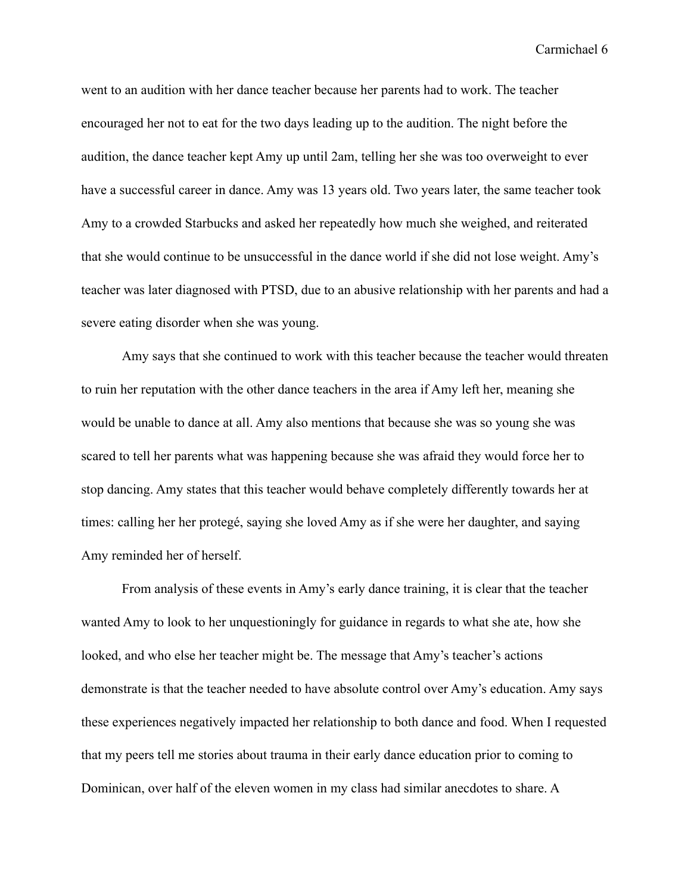went to an audition with her dance teacher because her parents had to work. The teacher encouraged her not to eat for the two days leading up to the audition. The night before the audition, the dance teacher kept Amy up until 2am, telling her she was too overweight to ever have a successful career in dance. Amy was 13 years old. Two years later, the same teacher took Amy to a crowded Starbucks and asked her repeatedly how much she weighed, and reiterated that she would continue to be unsuccessful in the dance world if she did not lose weight. Amy's teacher was later diagnosed with PTSD, due to an abusive relationship with her parents and had a severe eating disorder when she was young.

 Amy says that she continued to work with this teacher because the teacher would threaten to ruin her reputation with the other dance teachers in the area if Amy left her, meaning she would be unable to dance at all. Amy also mentions that because she was so young she was scared to tell her parents what was happening because she was afraid they would force her to stop dancing. Amy states that this teacher would behave completely differently towards her at times: calling her her protegé, saying she loved Amy as if she were her daughter, and saying Amy reminded her of herself.

 From analysis of these events in Amy's early dance training, it is clear that the teacher wanted Amy to look to her unquestioningly for guidance in regards to what she ate, how she looked, and who else her teacher might be. The message that Amy's teacher's actions demonstrate is that the teacher needed to have absolute control over Amy's education. Amy says these experiences negatively impacted her relationship to both dance and food. When I requested that my peers tell me stories about trauma in their early dance education prior to coming to Dominican, over half of the eleven women in my class had similar anecdotes to share. A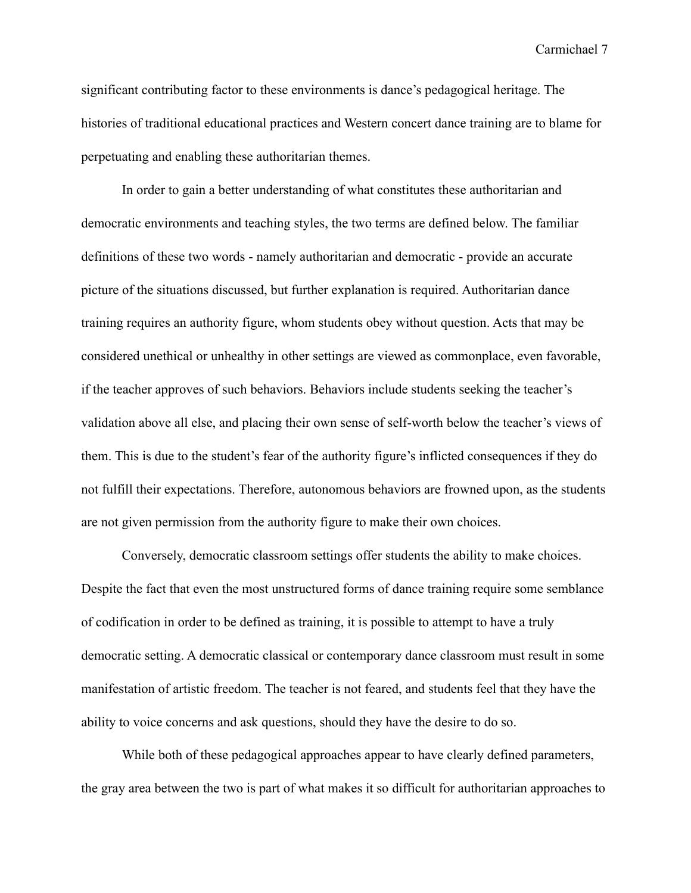significant contributing factor to these environments is dance's pedagogical heritage. The histories of traditional educational practices and Western concert dance training are to blame for perpetuating and enabling these authoritarian themes.

 In order to gain a better understanding of what constitutes these authoritarian and democratic environments and teaching styles, the two terms are defined below. The familiar definitions of these two words - namely authoritarian and democratic - provide an accurate picture of the situations discussed, but further explanation is required. Authoritarian dance training requires an authority figure, whom students obey without question. Acts that may be considered unethical or unhealthy in other settings are viewed as commonplace, even favorable, if the teacher approves of such behaviors. Behaviors include students seeking the teacher's validation above all else, and placing their own sense of self-worth below the teacher's views of them. This is due to the student's fear of the authority figure's inflicted consequences if they do not fulfill their expectations. Therefore, autonomous behaviors are frowned upon, as the students are not given permission from the authority figure to make their own choices.

 Conversely, democratic classroom settings offer students the ability to make choices. Despite the fact that even the most unstructured forms of dance training require some semblance of codification in order to be defined as training, it is possible to attempt to have a truly democratic setting. A democratic classical or contemporary dance classroom must result in some manifestation of artistic freedom. The teacher is not feared, and students feel that they have the ability to voice concerns and ask questions, should they have the desire to do so.

 While both of these pedagogical approaches appear to have clearly defined parameters, the gray area between the two is part of what makes it so difficult for authoritarian approaches to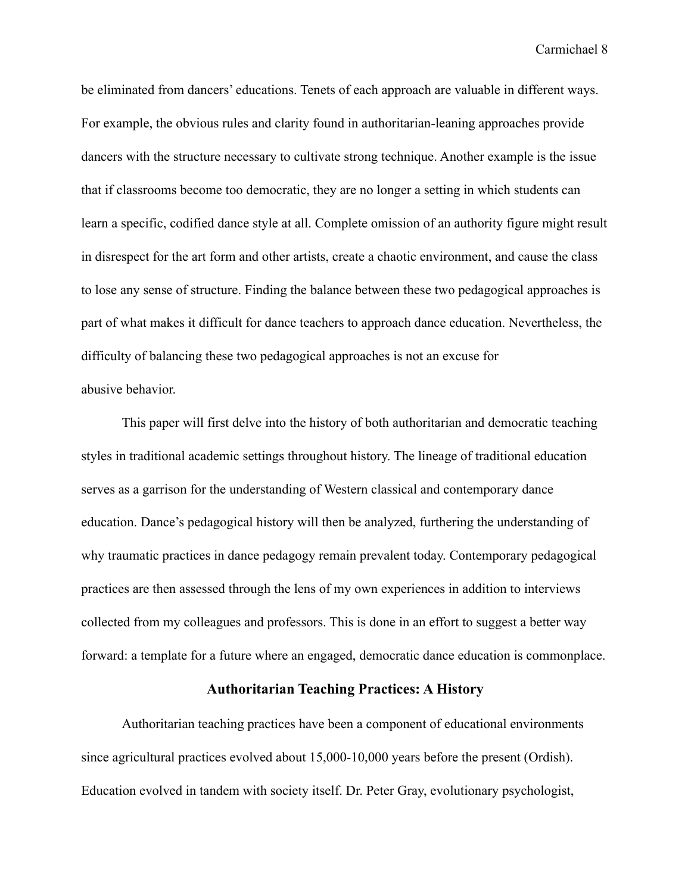be eliminated from dancers' educations. Tenets of each approach are valuable in different ways. For example, the obvious rules and clarity found in authoritarian-leaning approaches provide dancers with the structure necessary to cultivate strong technique. Another example is the issue that if classrooms become too democratic, they are no longer a setting in which students can learn a specific, codified dance style at all. Complete omission of an authority figure might result in disrespect for the art form and other artists, create a chaotic environment, and cause the class to lose any sense of structure. Finding the balance between these two pedagogical approaches is part of what makes it difficult for dance teachers to approach dance education. Nevertheless, the difficulty of balancing these two pedagogical approaches is not an excuse for abusive behavior.

 This paper will first delve into the history of both authoritarian and democratic teaching styles in traditional academic settings throughout history. The lineage of traditional education serves as a garrison for the understanding of Western classical and contemporary dance education. Dance's pedagogical history will then be analyzed, furthering the understanding of why traumatic practices in dance pedagogy remain prevalent today. Contemporary pedagogical practices are then assessed through the lens of my own experiences in addition to interviews collected from my colleagues and professors. This is done in an effort to suggest a better way forward: a template for a future where an engaged, democratic dance education is commonplace.

#### **Authoritarian Teaching Practices: A History**

 Authoritarian teaching practices have been a component of educational environments since agricultural practices evolved about 15,000-10,000 years before the present (Ordish). Education evolved in tandem with society itself. Dr. Peter Gray, evolutionary psychologist,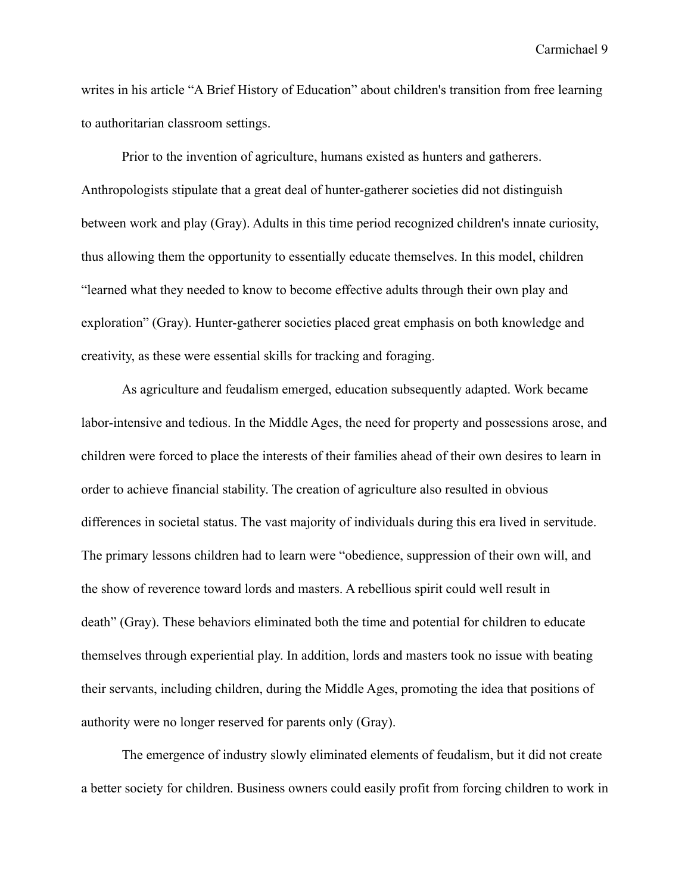writes in his article "A Brief History of Education" about children's transition from free learning to authoritarian classroom settings.

 Prior to the invention of agriculture, humans existed as hunters and gatherers. Anthropologists stipulate that a great deal of hunter-gatherer societies did not distinguish between work and play (Gray). Adults in this time period recognized children's innate curiosity, thus allowing them the opportunity to essentially educate themselves. In this model, children "learned what they needed to know to become effective adults through their own play and exploration" (Gray). Hunter-gatherer societies placed great emphasis on both knowledge and creativity, as these were essential skills for tracking and foraging.

 As agriculture and feudalism emerged, education subsequently adapted. Work became labor-intensive and tedious. In the Middle Ages, the need for property and possessions arose, and children were forced to place the interests of their families ahead of their own desires to learn in order to achieve financial stability. The creation of agriculture also resulted in obvious differences in societal status. The vast majority of individuals during this era lived in servitude. The primary lessons children had to learn were "obedience, suppression of their own will, and the show of reverence toward lords and masters. A rebellious spirit could well result in death" (Gray). These behaviors eliminated both the time and potential for children to educate themselves through experiential play. In addition, lords and masters took no issue with beating their servants, including children, during the Middle Ages, promoting the idea that positions of authority were no longer reserved for parents only (Gray).

 The emergence of industry slowly eliminated elements of feudalism, but it did not create a better society for children. Business owners could easily profit from forcing children to work in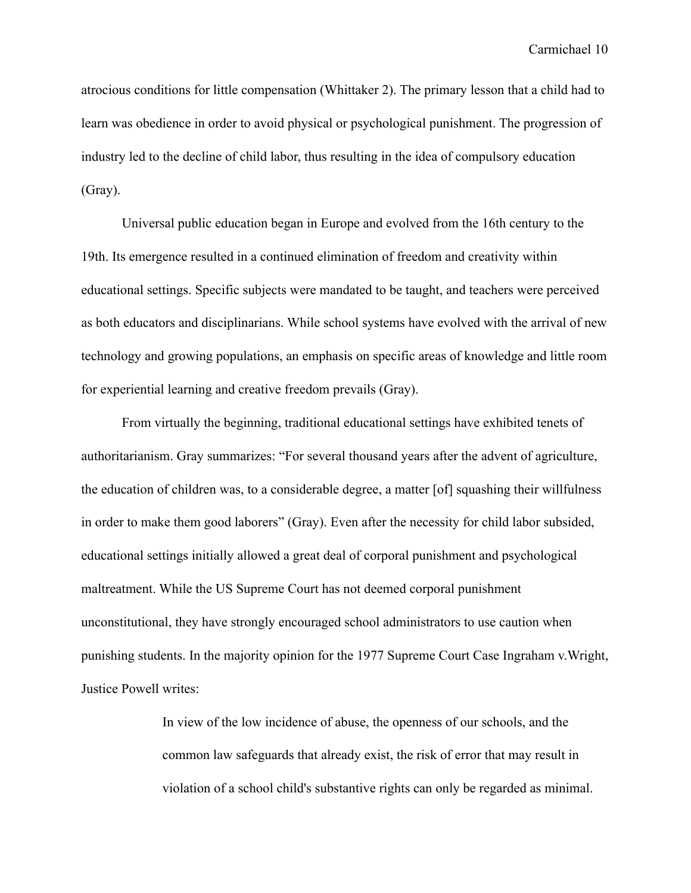atrocious conditions for little compensation (Whittaker 2). The primary lesson that a child had to learn was obedience in order to avoid physical or psychological punishment. The progression of industry led to the decline of child labor, thus resulting in the idea of compulsory education (Gray).

 Universal public education began in Europe and evolved from the 16th century to the 19th. Its emergence resulted in a continued elimination of freedom and creativity within educational settings. Specific subjects were mandated to be taught, and teachers were perceived as both educators and disciplinarians. While school systems have evolved with the arrival of new technology and growing populations, an emphasis on specific areas of knowledge and little room for experiential learning and creative freedom prevails (Gray).

 From virtually the beginning, traditional educational settings have exhibited tenets of authoritarianism. Gray summarizes: "For several thousand years after the advent of agriculture, the education of children was, to a considerable degree, a matter [of] squashing their willfulness in order to make them good laborers" (Gray). Even after the necessity for child labor subsided, educational settings initially allowed a great deal of corporal punishment and psychological maltreatment. While the US Supreme Court has not deemed corporal punishment unconstitutional, they have strongly encouraged school administrators to use caution when punishing students. In the majority opinion for the 1977 Supreme Court Case Ingraham v.Wright, Justice Powell writes:

> In view of the low incidence of abuse, the openness of our schools, and the common law safeguards that already exist, the risk of error that may result in violation of a school child's substantive rights can only be regarded as minimal.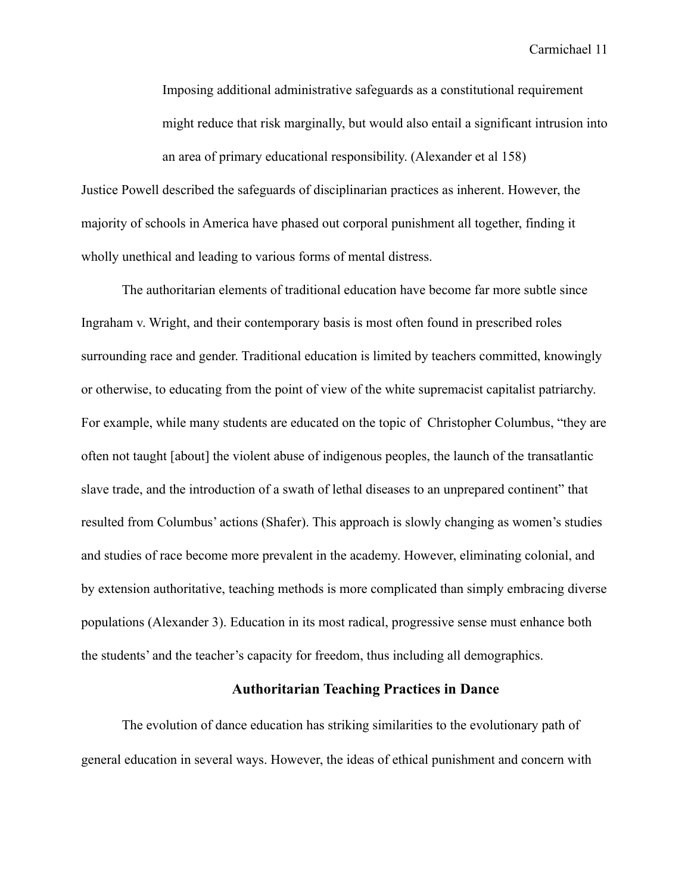Imposing additional administrative safeguards as a constitutional requirement might reduce that risk marginally, but would also entail a significant intrusion into an area of primary educational responsibility. (Alexander et al 158) Justice Powell described the safeguards of disciplinarian practices as inherent. However, the majority of schools in America have phased out corporal punishment all together, finding it wholly unethical and leading to various forms of mental distress.

 The authoritarian elements of traditional education have become far more subtle since Ingraham v. Wright, and their contemporary basis is most often found in prescribed roles surrounding race and gender. Traditional education is limited by teachers committed, knowingly or otherwise, to educating from the point of view of the white supremacist capitalist patriarchy. For example, while many students are educated on the topic of Christopher Columbus, "they are often not taught [about] the violent abuse of indigenous peoples, the launch of the transatlantic slave trade, and the introduction of a swath of lethal diseases to an unprepared continent" that resulted from Columbus' actions (Shafer). This approach is slowly changing as women's studies and studies of race become more prevalent in the academy. However, eliminating colonial, and by extension authoritative, teaching methods is more complicated than simply embracing diverse populations (Alexander 3). Education in its most radical, progressive sense must enhance both the students' and the teacher's capacity for freedom, thus including all demographics.

#### **Authoritarian Teaching Practices in Dance**

The evolution of dance education has striking similarities to the evolutionary path of general education in several ways. However, the ideas of ethical punishment and concern with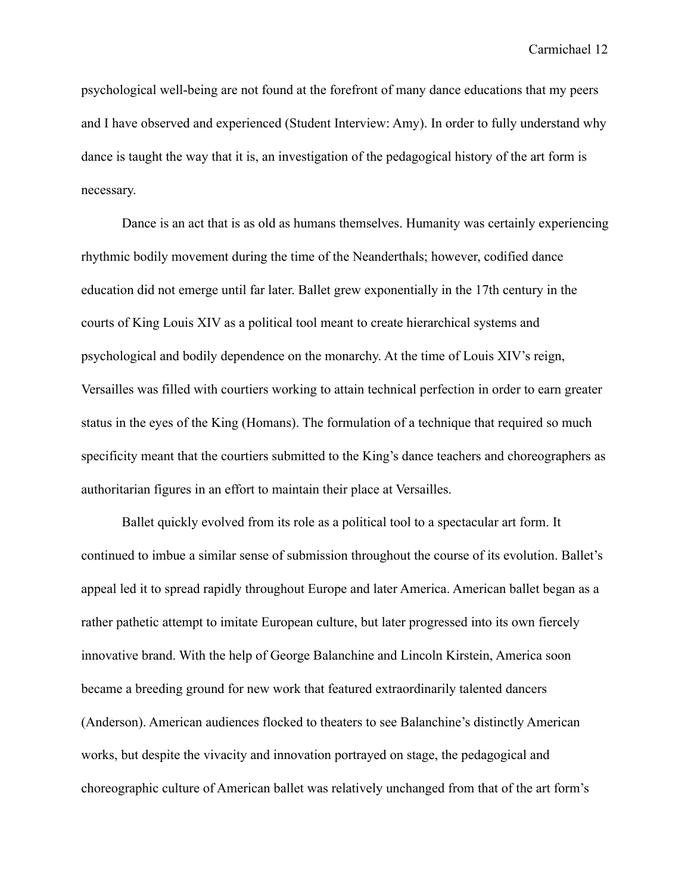psychological well-being are not found at the forefront of many dance educations that my peers and I have observed and experienced (Student Interview: Amy). In order to fully understand why dance is taught the way that it is, an investigation of the pedagogical history of the art form is necessary.

 Dance is an act that is as old as humans themselves. Humanity was certainly experiencing rhythmic bodily movement during the time of the Neanderthals; however, codified dance education did not emerge until far later. Ballet grew exponentially in the 17th century in the courts of King Louis XIV as a political tool meant to create hierarchical systems and psychological and bodily dependence on the monarchy. At the time of Louis XIV's reign, Versailles was filled with courtiers working to attain technical perfection in order to earn greater status in the eyes of the King (Homans). The formulation of a technique that required so much specificity meant that the courtiers submitted to the King's dance teachers and choreographers as authoritarian figures in an effort to maintain their place at Versailles.

 Ballet quickly evolved from its role as a political tool to a spectacular art form. It continued to imbue a similar sense of submission throughout the course of its evolution. Ballet's appeal led it to spread rapidly throughout Europe and later America. American ballet began as a rather pathetic attempt to imitate European culture, but later progressed into its own fiercely innovative brand. With the help of George Balanchine and Lincoln Kirstein, America soon became a breeding ground for new work that featured extraordinarily talented dancers (Anderson). American audiences flocked to theaters to see Balanchine's distinctly American works, but despite the vivacity and innovation portrayed on stage, the pedagogical and choreographic culture of American ballet was relatively unchanged from that of the art form's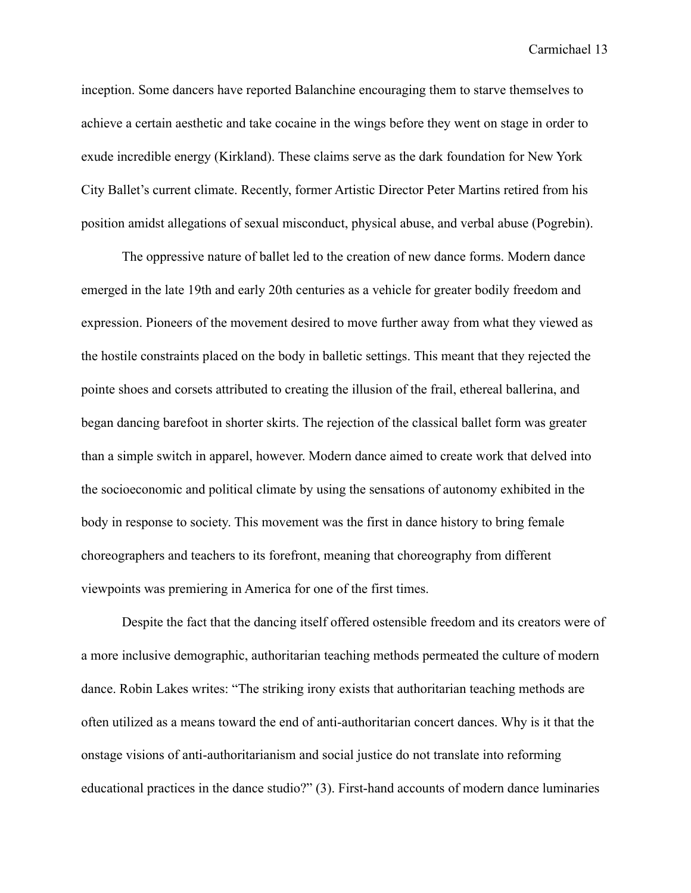inception. Some dancers have reported Balanchine encouraging them to starve themselves to achieve a certain aesthetic and take cocaine in the wings before they went on stage in order to exude incredible energy (Kirkland). These claims serve as the dark foundation for New York City Ballet's current climate. Recently, former Artistic Director Peter Martins retired from his position amidst allegations of sexual misconduct, physical abuse, and verbal abuse (Pogrebin).

 The oppressive nature of ballet led to the creation of new dance forms. Modern dance emerged in the late 19th and early 20th centuries as a vehicle for greater bodily freedom and expression. Pioneers of the movement desired to move further away from what they viewed as the hostile constraints placed on the body in balletic settings. This meant that they rejected the pointe shoes and corsets attributed to creating the illusion of the frail, ethereal ballerina, and began dancing barefoot in shorter skirts. The rejection of the classical ballet form was greater than a simple switch in apparel, however. Modern dance aimed to create work that delved into the socioeconomic and political climate by using the sensations of autonomy exhibited in the body in response to society. This movement was the first in dance history to bring female choreographers and teachers to its forefront, meaning that choreography from different viewpoints was premiering in America for one of the first times.

 Despite the fact that the dancing itself offered ostensible freedom and its creators were of a more inclusive demographic, authoritarian teaching methods permeated the culture of modern dance. Robin Lakes writes: "The striking irony exists that authoritarian teaching methods are often utilized as a means toward the end of anti-authoritarian concert dances. Why is it that the onstage visions of anti-authoritarianism and social justice do not translate into reforming educational practices in the dance studio?" (3). First-hand accounts of modern dance luminaries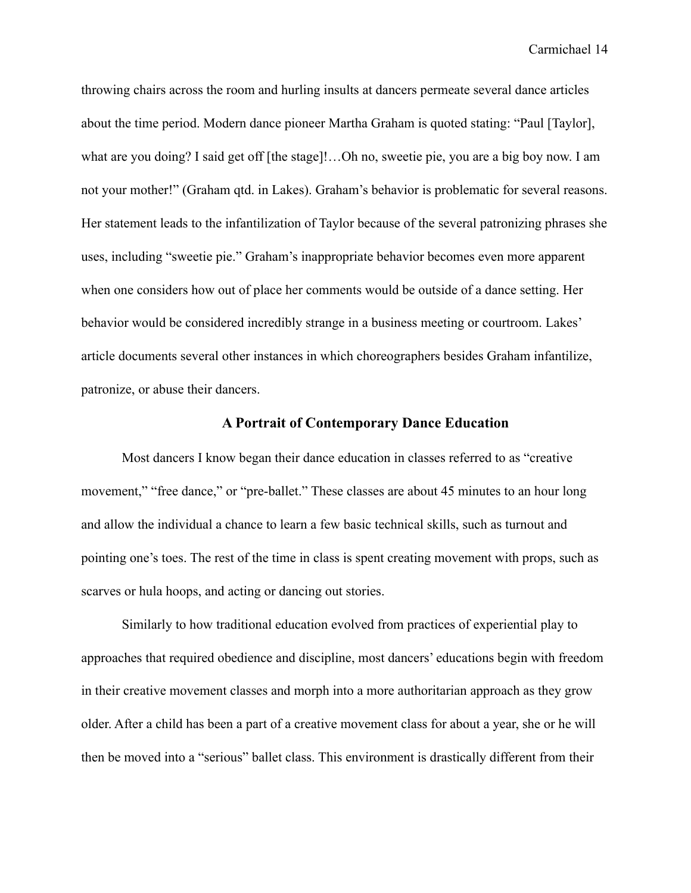throwing chairs across the room and hurling insults at dancers permeate several dance articles about the time period. Modern dance pioneer Martha Graham is quoted stating: "Paul [Taylor], what are you doing? I said get off [the stage]!…Oh no, sweetie pie, you are a big boy now. I am not your mother!" (Graham qtd. in Lakes). Graham's behavior is problematic for several reasons. Her statement leads to the infantilization of Taylor because of the several patronizing phrases she uses, including "sweetie pie." Graham's inappropriate behavior becomes even more apparent when one considers how out of place her comments would be outside of a dance setting. Her behavior would be considered incredibly strange in a business meeting or courtroom. Lakes' article documents several other instances in which choreographers besides Graham infantilize, patronize, or abuse their dancers.

#### **A Portrait of Contemporary Dance Education**

 Most dancers I know began their dance education in classes referred to as "creative movement," "free dance," or "pre-ballet." These classes are about 45 minutes to an hour long and allow the individual a chance to learn a few basic technical skills, such as turnout and pointing one's toes. The rest of the time in class is spent creating movement with props, such as scarves or hula hoops, and acting or dancing out stories.

 Similarly to how traditional education evolved from practices of experiential play to approaches that required obedience and discipline, most dancers' educations begin with freedom in their creative movement classes and morph into a more authoritarian approach as they grow older. After a child has been a part of a creative movement class for about a year, she or he will then be moved into a "serious" ballet class. This environment is drastically different from their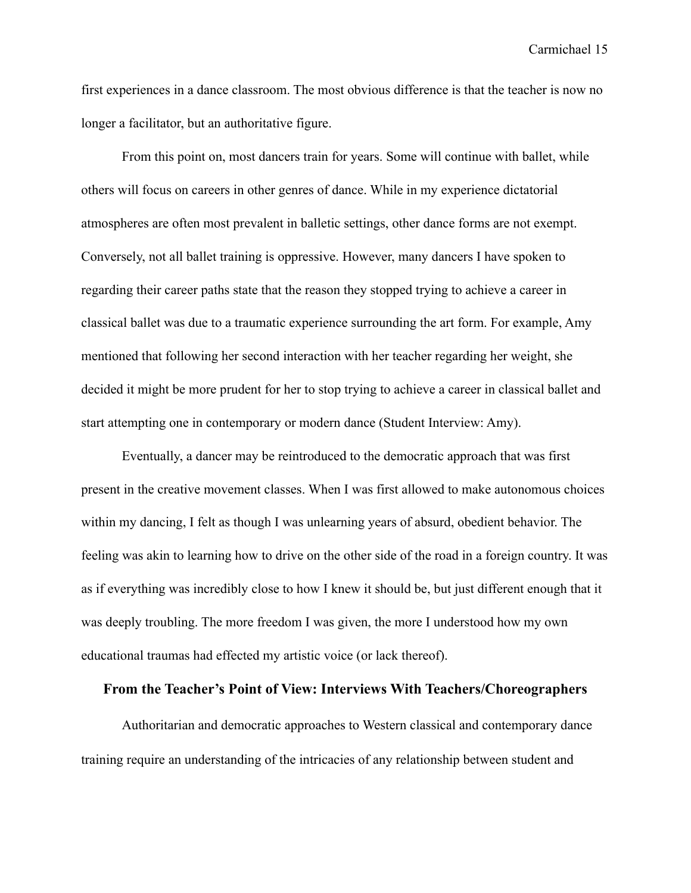first experiences in a dance classroom. The most obvious difference is that the teacher is now no longer a facilitator, but an authoritative figure.

 From this point on, most dancers train for years. Some will continue with ballet, while others will focus on careers in other genres of dance. While in my experience dictatorial atmospheres are often most prevalent in balletic settings, other dance forms are not exempt. Conversely, not all ballet training is oppressive. However, many dancers I have spoken to regarding their career paths state that the reason they stopped trying to achieve a career in classical ballet was due to a traumatic experience surrounding the art form. For example, Amy mentioned that following her second interaction with her teacher regarding her weight, she decided it might be more prudent for her to stop trying to achieve a career in classical ballet and start attempting one in contemporary or modern dance (Student Interview: Amy).

 Eventually, a dancer may be reintroduced to the democratic approach that was first present in the creative movement classes. When I was first allowed to make autonomous choices within my dancing, I felt as though I was unlearning years of absurd, obedient behavior. The feeling was akin to learning how to drive on the other side of the road in a foreign country. It was as if everything was incredibly close to how I knew it should be, but just different enough that it was deeply troubling. The more freedom I was given, the more I understood how my own educational traumas had effected my artistic voice (or lack thereof).

#### **From the Teacher's Point of View: Interviews With Teachers/Choreographers**

Authoritarian and democratic approaches to Western classical and contemporary dance training require an understanding of the intricacies of any relationship between student and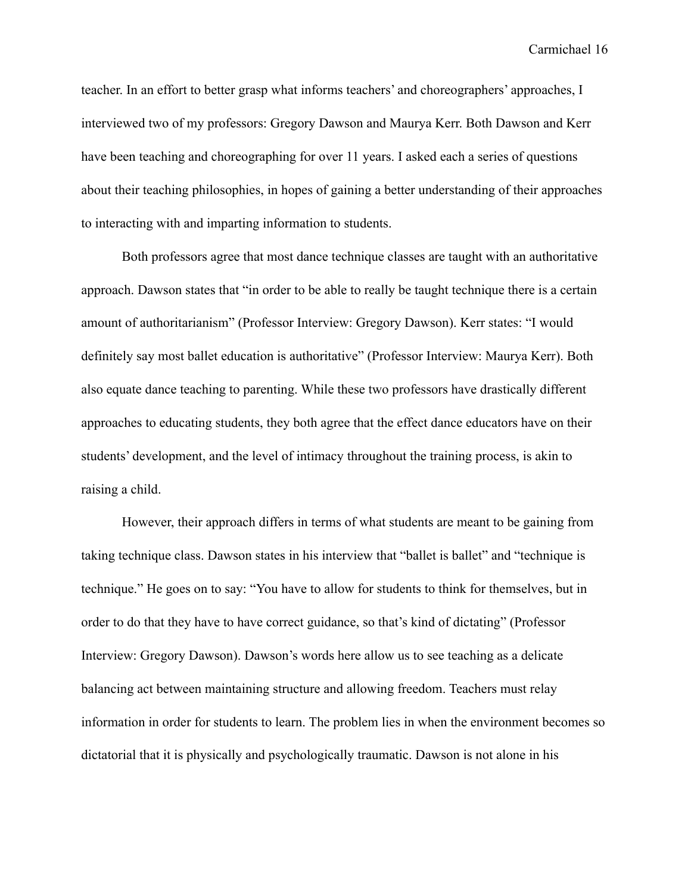teacher. In an effort to better grasp what informs teachers' and choreographers' approaches, I interviewed two of my professors: Gregory Dawson and Maurya Kerr. Both Dawson and Kerr have been teaching and choreographing for over 11 years. I asked each a series of questions about their teaching philosophies, in hopes of gaining a better understanding of their approaches to interacting with and imparting information to students.

 Both professors agree that most dance technique classes are taught with an authoritative approach. Dawson states that "in order to be able to really be taught technique there is a certain amount of authoritarianism" (Professor Interview: Gregory Dawson). Kerr states: "I would definitely say most ballet education is authoritative" (Professor Interview: Maurya Kerr). Both also equate dance teaching to parenting. While these two professors have drastically different approaches to educating students, they both agree that the effect dance educators have on their students' development, and the level of intimacy throughout the training process, is akin to raising a child.

 However, their approach differs in terms of what students are meant to be gaining from taking technique class. Dawson states in his interview that "ballet is ballet" and "technique is technique." He goes on to say: "You have to allow for students to think for themselves, but in order to do that they have to have correct guidance, so that's kind of dictating" (Professor Interview: Gregory Dawson). Dawson's words here allow us to see teaching as a delicate balancing act between maintaining structure and allowing freedom. Teachers must relay information in order for students to learn. The problem lies in when the environment becomes so dictatorial that it is physically and psychologically traumatic. Dawson is not alone in his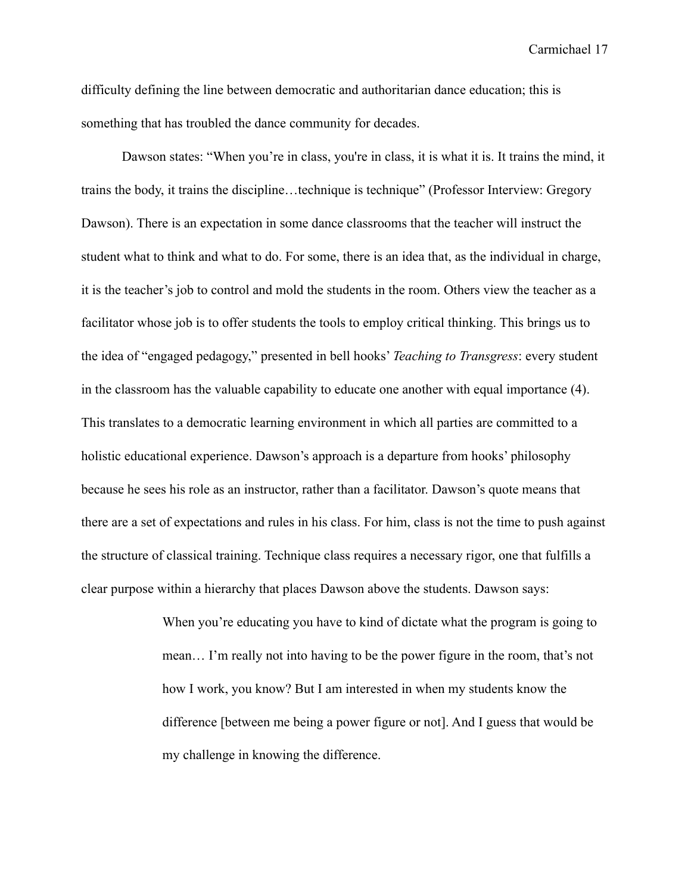difficulty defining the line between democratic and authoritarian dance education; this is something that has troubled the dance community for decades.

 Dawson states: "When you're in class, you're in class, it is what it is. It trains the mind, it trains the body, it trains the discipline…technique is technique" (Professor Interview: Gregory Dawson). There is an expectation in some dance classrooms that the teacher will instruct the student what to think and what to do. For some, there is an idea that, as the individual in charge, it is the teacher's job to control and mold the students in the room. Others view the teacher as a facilitator whose job is to offer students the tools to employ critical thinking. This brings us to the idea of "engaged pedagogy," presented in bell hooks' *Teaching to Transgress*: every student in the classroom has the valuable capability to educate one another with equal importance (4). This translates to a democratic learning environment in which all parties are committed to a holistic educational experience. Dawson's approach is a departure from hooks' philosophy because he sees his role as an instructor, rather than a facilitator. Dawson's quote means that there are a set of expectations and rules in his class. For him, class is not the time to push against the structure of classical training. Technique class requires a necessary rigor, one that fulfills a clear purpose within a hierarchy that places Dawson above the students. Dawson says:

> When you're educating you have to kind of dictate what the program is going to mean… I'm really not into having to be the power figure in the room, that's not how I work, you know? But I am interested in when my students know the difference [between me being a power figure or not]. And I guess that would be my challenge in knowing the difference.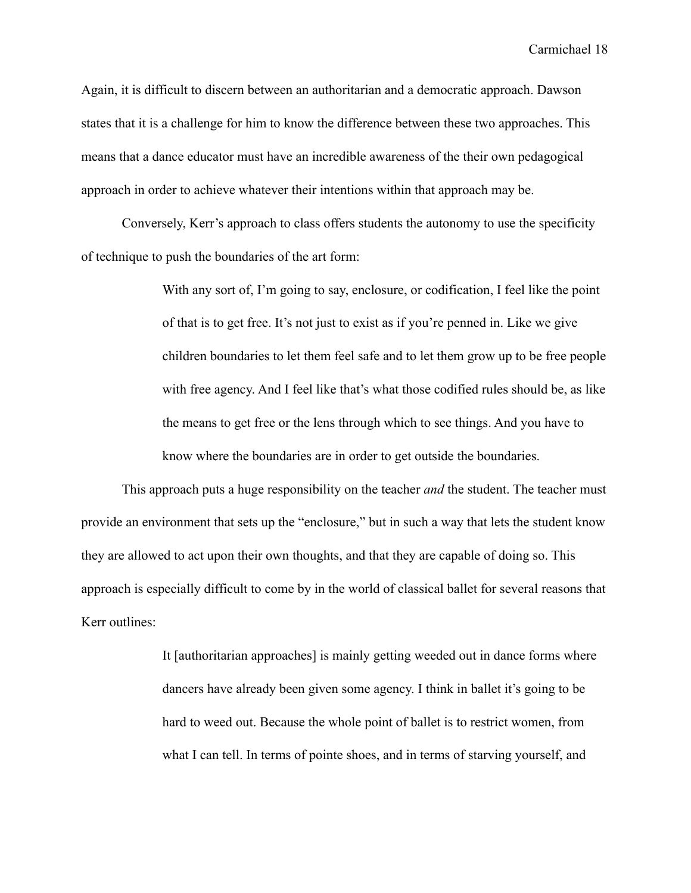Again, it is difficult to discern between an authoritarian and a democratic approach. Dawson states that it is a challenge for him to know the difference between these two approaches. This means that a dance educator must have an incredible awareness of the their own pedagogical approach in order to achieve whatever their intentions within that approach may be.

 Conversely, Kerr's approach to class offers students the autonomy to use the specificity of technique to push the boundaries of the art form:

> With any sort of, I'm going to say, enclosure, or codification, I feel like the point of that is to get free. It's not just to exist as if you're penned in. Like we give children boundaries to let them feel safe and to let them grow up to be free people with free agency. And I feel like that's what those codified rules should be, as like the means to get free or the lens through which to see things. And you have to know where the boundaries are in order to get outside the boundaries.

 This approach puts a huge responsibility on the teacher *and* the student. The teacher must provide an environment that sets up the "enclosure," but in such a way that lets the student know they are allowed to act upon their own thoughts, and that they are capable of doing so. This approach is especially difficult to come by in the world of classical ballet for several reasons that Kerr outlines:

> It [authoritarian approaches] is mainly getting weeded out in dance forms where dancers have already been given some agency. I think in ballet it's going to be hard to weed out. Because the whole point of ballet is to restrict women, from what I can tell. In terms of pointe shoes, and in terms of starving yourself, and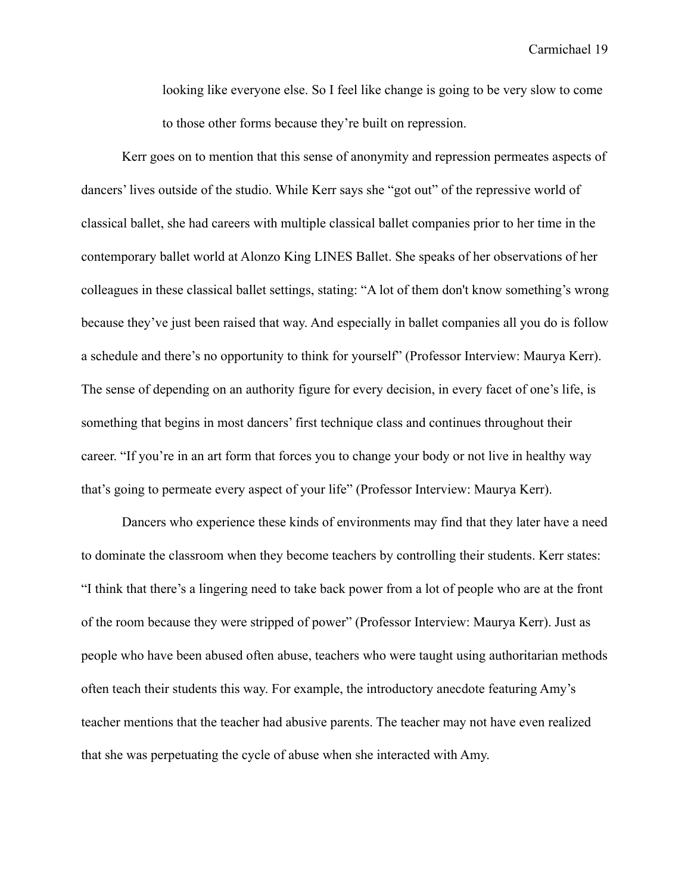looking like everyone else. So I feel like change is going to be very slow to come to those other forms because they're built on repression.

 Kerr goes on to mention that this sense of anonymity and repression permeates aspects of dancers' lives outside of the studio. While Kerr says she "got out" of the repressive world of classical ballet, she had careers with multiple classical ballet companies prior to her time in the contemporary ballet world at Alonzo King LINES Ballet. She speaks of her observations of her colleagues in these classical ballet settings, stating: "A lot of them don't know something's wrong because they've just been raised that way. And especially in ballet companies all you do is follow a schedule and there's no opportunity to think for yourself" (Professor Interview: Maurya Kerr). The sense of depending on an authority figure for every decision, in every facet of one's life, is something that begins in most dancers' first technique class and continues throughout their career. "If you're in an art form that forces you to change your body or not live in healthy way that's going to permeate every aspect of your life" (Professor Interview: Maurya Kerr).

 Dancers who experience these kinds of environments may find that they later have a need to dominate the classroom when they become teachers by controlling their students. Kerr states: "I think that there's a lingering need to take back power from a lot of people who are at the front of the room because they were stripped of power" (Professor Interview: Maurya Kerr). Just as people who have been abused often abuse, teachers who were taught using authoritarian methods often teach their students this way. For example, the introductory anecdote featuring Amy's teacher mentions that the teacher had abusive parents. The teacher may not have even realized that she was perpetuating the cycle of abuse when she interacted with Amy.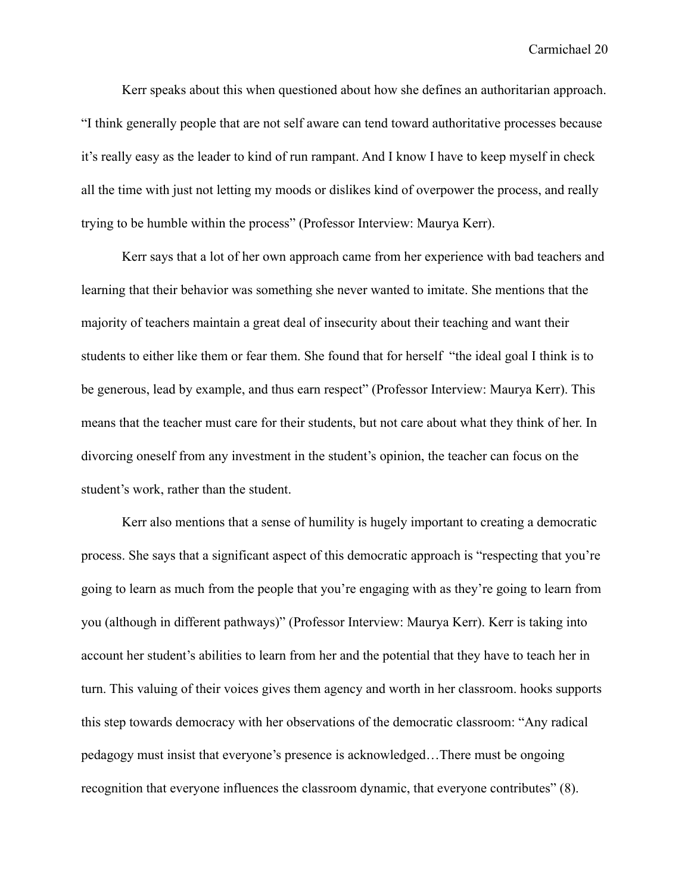Kerr speaks about this when questioned about how she defines an authoritarian approach. "I think generally people that are not self aware can tend toward authoritative processes because it's really easy as the leader to kind of run rampant. And I know I have to keep myself in check all the time with just not letting my moods or dislikes kind of overpower the process, and really trying to be humble within the process" (Professor Interview: Maurya Kerr).

 Kerr says that a lot of her own approach came from her experience with bad teachers and learning that their behavior was something she never wanted to imitate. She mentions that the majority of teachers maintain a great deal of insecurity about their teaching and want their students to either like them or fear them. She found that for herself "the ideal goal I think is to be generous, lead by example, and thus earn respect" (Professor Interview: Maurya Kerr). This means that the teacher must care for their students, but not care about what they think of her. In divorcing oneself from any investment in the student's opinion, the teacher can focus on the student's work, rather than the student.

 Kerr also mentions that a sense of humility is hugely important to creating a democratic process. She says that a significant aspect of this democratic approach is "respecting that you're going to learn as much from the people that you're engaging with as they're going to learn from you (although in different pathways)" (Professor Interview: Maurya Kerr). Kerr is taking into account her student's abilities to learn from her and the potential that they have to teach her in turn. This valuing of their voices gives them agency and worth in her classroom. hooks supports this step towards democracy with her observations of the democratic classroom: "Any radical pedagogy must insist that everyone's presence is acknowledged…There must be ongoing recognition that everyone influences the classroom dynamic, that everyone contributes" (8).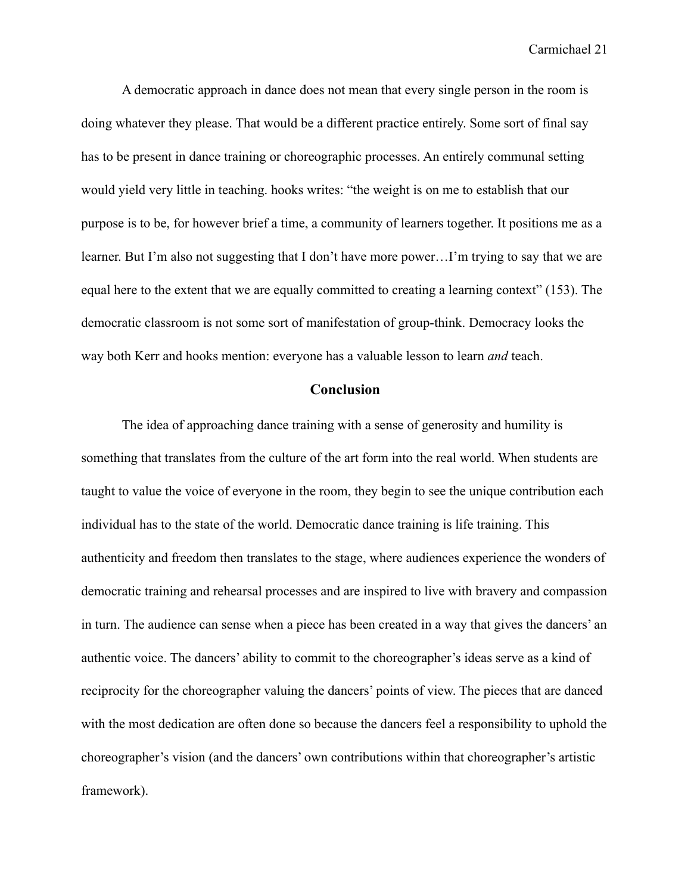A democratic approach in dance does not mean that every single person in the room is doing whatever they please. That would be a different practice entirely. Some sort of final say has to be present in dance training or choreographic processes. An entirely communal setting would yield very little in teaching. hooks writes: "the weight is on me to establish that our purpose is to be, for however brief a time, a community of learners together. It positions me as a learner. But I'm also not suggesting that I don't have more power…I'm trying to say that we are equal here to the extent that we are equally committed to creating a learning context" (153). The democratic classroom is not some sort of manifestation of group-think. Democracy looks the way both Kerr and hooks mention: everyone has a valuable lesson to learn *and* teach.

#### **Conclusion**

 The idea of approaching dance training with a sense of generosity and humility is something that translates from the culture of the art form into the real world. When students are taught to value the voice of everyone in the room, they begin to see the unique contribution each individual has to the state of the world. Democratic dance training is life training. This authenticity and freedom then translates to the stage, where audiences experience the wonders of democratic training and rehearsal processes and are inspired to live with bravery and compassion in turn. The audience can sense when a piece has been created in a way that gives the dancers' an authentic voice. The dancers' ability to commit to the choreographer's ideas serve as a kind of reciprocity for the choreographer valuing the dancers' points of view. The pieces that are danced with the most dedication are often done so because the dancers feel a responsibility to uphold the choreographer's vision (and the dancers' own contributions within that choreographer's artistic framework).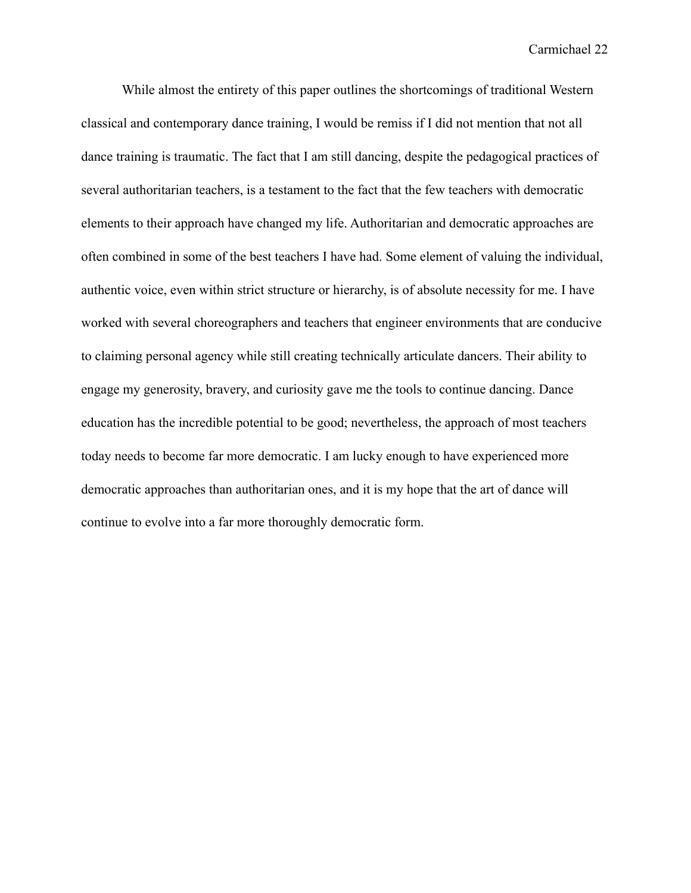While almost the entirety of this paper outlines the shortcomings of traditional Western classical and contemporary dance training, I would be remiss if I did not mention that not all dance training is traumatic. The fact that I am still dancing, despite the pedagogical practices of several authoritarian teachers, is a testament to the fact that the few teachers with democratic elements to their approach have changed my life. Authoritarian and democratic approaches are often combined in some of the best teachers I have had. Some element of valuing the individual, authentic voice, even within strict structure or hierarchy, is of absolute necessity for me. I have worked with several choreographers and teachers that engineer environments that are conducive to claiming personal agency while still creating technically articulate dancers. Their ability to engage my generosity, bravery, and curiosity gave me the tools to continue dancing. Dance education has the incredible potential to be good; nevertheless, the approach of most teachers today needs to become far more democratic. I am lucky enough to have experienced more democratic approaches than authoritarian ones, and it is my hope that the art of dance will continue to evolve into a far more thoroughly democratic form.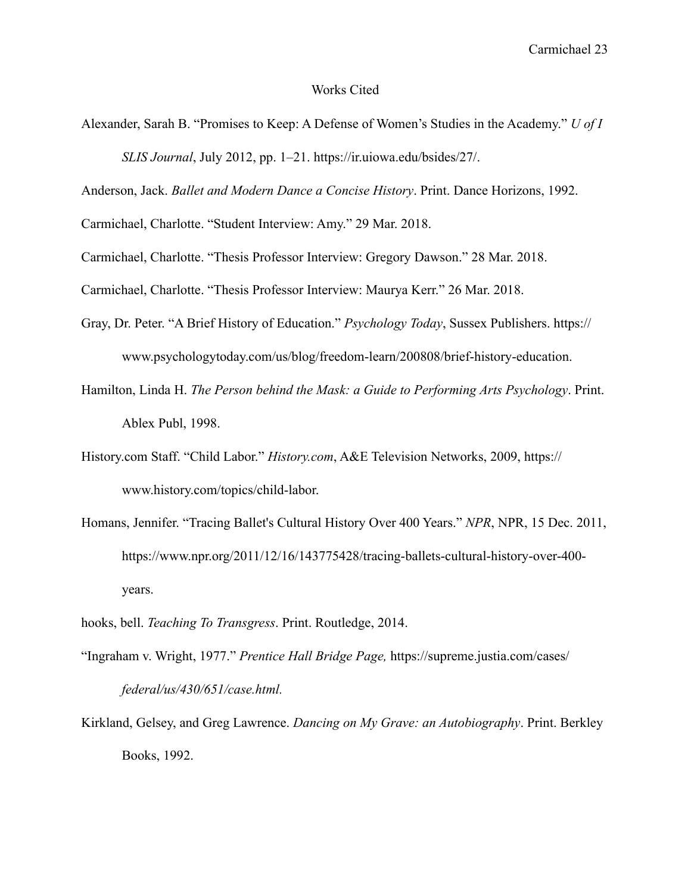#### Works Cited

Alexander, Sarah B. "Promises to Keep: A Defense of Women's Studies in the Academy." *U of I SLIS Journal*, July 2012, pp. 1–21. https://ir.uiowa.edu/bsides/27/.

Anderson, Jack. *Ballet and Modern Dance a Concise History*. Print. Dance Horizons, 1992.

Carmichael, Charlotte. "Student Interview: Amy." 29 Mar. 2018.

Carmichael, Charlotte. "Thesis Professor Interview: Gregory Dawson." 28 Mar. 2018.

Carmichael, Charlotte. "Thesis Professor Interview: Maurya Kerr." 26 Mar. 2018.

- Gray, Dr. Peter. "A Brief History of Education." *Psychology Today*, Sussex Publishers. https:// www.psychologytoday.com/us/blog/freedom-learn/200808/brief-history-education.
- Hamilton, Linda H. *The Person behind the Mask: a Guide to Performing Arts Psychology*. Print. Ablex Publ, 1998.
- History.com Staff. "Child Labor." *History.com*, A&E Television Networks, 2009, https:// www.history.com/topics/child-labor.
- Homans, Jennifer. "Tracing Ballet's Cultural History Over 400 Years." *NPR*, NPR, 15 Dec. 2011, https://www.npr.org/2011/12/16/143775428/tracing-ballets-cultural-history-over-400 years.
- hooks, bell. *Teaching To Transgress*. Print. Routledge, 2014.
- "Ingraham v. Wright, 1977." *Prentice Hall Bridge Page,* https://supreme.justia.com/cases/ *federal/us/430/651/case.html.*
- Kirkland, Gelsey, and Greg Lawrence. *Dancing on My Grave: an Autobiography*. Print. Berkley Books, 1992.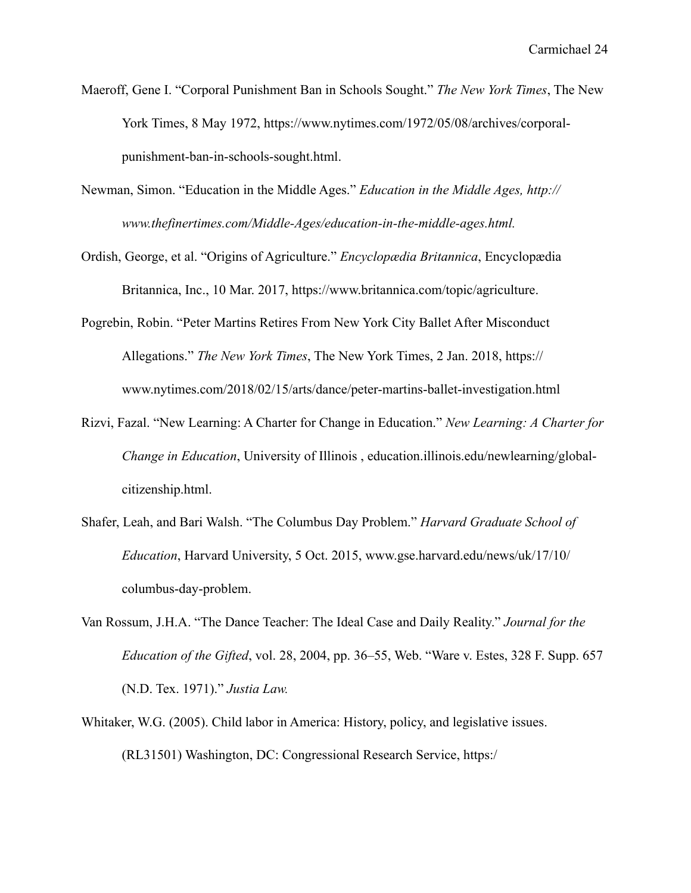- Maeroff, Gene I. "Corporal Punishment Ban in Schools Sought." *The New York Times*, The New York Times, 8 May 1972, https://www.nytimes.com/1972/05/08/archives/corporal punishment-ban-in-schools-sought.html.
- Newman, Simon. "Education in the Middle Ages." *Education in the Middle Ages, http:// www.thefinertimes.com/Middle-Ages/education-in-the-middle-ages.html.*
- Ordish, George, et al. "Origins of Agriculture." *Encyclopædia Britannica*, Encyclopædia Britannica, Inc., 10 Mar. 2017, https://www.britannica.com/topic/agriculture.
- Pogrebin, Robin. "Peter Martins Retires From New York City Ballet After Misconduct Allegations." *The New York Times*, The New York Times, 2 Jan. 2018, https:// www.nytimes.com/2018/02/15/arts/dance/peter-martins-ballet-investigation.html
- Rizvi, Fazal. "New Learning: A Charter for Change in Education." *New Learning: A Charter for Change in Education*, University of Illinois , education.illinois.edu/newlearning/global citizenship.html.
- Shafer, Leah, and Bari Walsh. "The Columbus Day Problem." *Harvard Graduate School of Education*, Harvard University, 5 Oct. 2015, www.gse.harvard.edu/news/uk/17/10/ columbus-day-problem.
- Van Rossum, J.H.A. "The Dance Teacher: The Ideal Case and Daily Reality." *Journal for the Education of the Gifted*, vol. 28, 2004, pp. 36–55, Web. "Ware v. Estes, 328 F. Supp. 657 (N.D. Tex. 1971)." *Justia Law.*
- Whitaker, W.G. (2005). Child labor in America: History, policy, and legislative issues. (RL31501) Washington, DC: Congressional Research Service, https:/